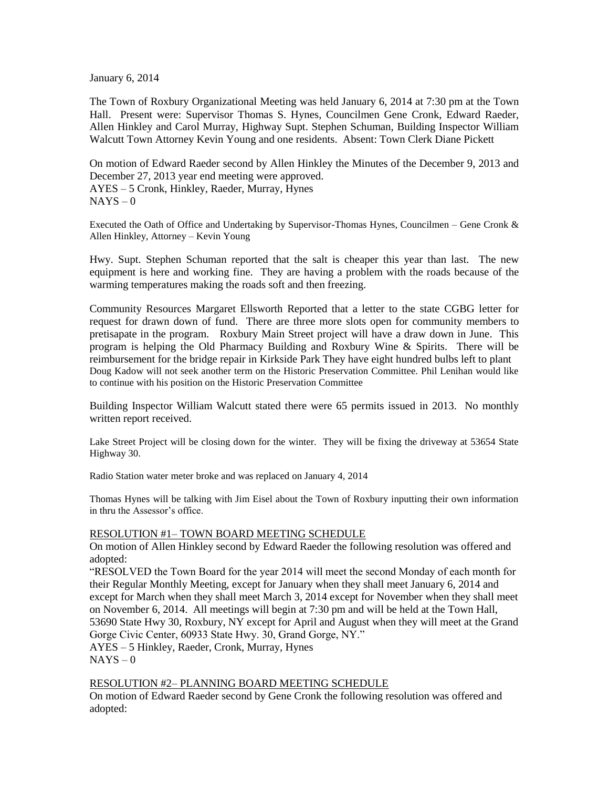January 6, 2014

The Town of Roxbury Organizational Meeting was held January 6, 2014 at 7:30 pm at the Town Hall. Present were: Supervisor Thomas S. Hynes, Councilmen Gene Cronk, Edward Raeder, Allen Hinkley and Carol Murray, Highway Supt. Stephen Schuman, Building Inspector William Walcutt Town Attorney Kevin Young and one residents. Absent: Town Clerk Diane Pickett

On motion of Edward Raeder second by Allen Hinkley the Minutes of the December 9, 2013 and December 27, 2013 year end meeting were approved. AYES – 5 Cronk, Hinkley, Raeder, Murray, Hynes  $NAYS - 0$ 

Executed the Oath of Office and Undertaking by Supervisor-Thomas Hynes, Councilmen – Gene Cronk & Allen Hinkley, Attorney – Kevin Young

Hwy. Supt. Stephen Schuman reported that the salt is cheaper this year than last. The new equipment is here and working fine. They are having a problem with the roads because of the warming temperatures making the roads soft and then freezing.

Community Resources Margaret Ellsworth Reported that a letter to the state CGBG letter for request for drawn down of fund. There are three more slots open for community members to pretisapate in the program. Roxbury Main Street project will have a draw down in June. This program is helping the Old Pharmacy Building and Roxbury Wine & Spirits. There will be reimbursement for the bridge repair in Kirkside Park They have eight hundred bulbs left to plant Doug Kadow will not seek another term on the Historic Preservation Committee. Phil Lenihan would like to continue with his position on the Historic Preservation Committee

Building Inspector William Walcutt stated there were 65 permits issued in 2013. No monthly written report received.

Lake Street Project will be closing down for the winter. They will be fixing the driveway at 53654 State Highway 30.

Radio Station water meter broke and was replaced on January 4, 2014

Thomas Hynes will be talking with Jim Eisel about the Town of Roxbury inputting their own information in thru the Assessor's office.

#### RESOLUTION #1– TOWN BOARD MEETING SCHEDULE

On motion of Allen Hinkley second by Edward Raeder the following resolution was offered and adopted:

"RESOLVED the Town Board for the year 2014 will meet the second Monday of each month for their Regular Monthly Meeting, except for January when they shall meet January 6, 2014 and except for March when they shall meet March 3, 2014 except for November when they shall meet on November 6, 2014. All meetings will begin at 7:30 pm and will be held at the Town Hall, 53690 State Hwy 30, Roxbury, NY except for April and August when they will meet at the Grand Gorge Civic Center, 60933 State Hwy. 30, Grand Gorge, NY."

AYES – 5 Hinkley, Raeder, Cronk, Murray, Hynes  $NAYS - 0$ 

### RESOLUTION #2– PLANNING BOARD MEETING SCHEDULE

On motion of Edward Raeder second by Gene Cronk the following resolution was offered and adopted: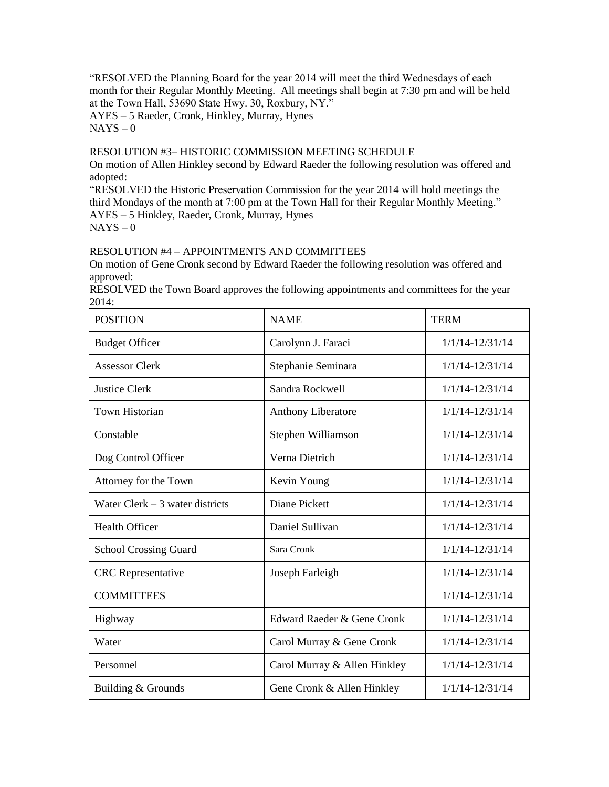"RESOLVED the Planning Board for the year 2014 will meet the third Wednesdays of each month for their Regular Monthly Meeting. All meetings shall begin at 7:30 pm and will be held at the Town Hall, 53690 State Hwy. 30, Roxbury, NY."

AYES – 5 Raeder, Cronk, Hinkley, Murray, Hynes  $NAYS - 0$ 

## RESOLUTION #3– HISTORIC COMMISSION MEETING SCHEDULE

On motion of Allen Hinkley second by Edward Raeder the following resolution was offered and adopted:

"RESOLVED the Historic Preservation Commission for the year 2014 will hold meetings the third Mondays of the month at 7:00 pm at the Town Hall for their Regular Monthly Meeting." AYES – 5 Hinkley, Raeder, Cronk, Murray, Hynes  $NAYS - 0$ 

## RESOLUTION #4 – APPOINTMENTS AND COMMITTEES

On motion of Gene Cronk second by Edward Raeder the following resolution was offered and approved:

RESOLVED the Town Board approves the following appointments and committees for the year 2014:

| <b>POSITION</b>                  | <b>NAME</b>                                       | <b>TERM</b>         |
|----------------------------------|---------------------------------------------------|---------------------|
| <b>Budget Officer</b>            | Carolynn J. Faraci                                | $1/1/14 - 12/31/14$ |
| <b>Assessor Clerk</b>            | Stephanie Seminara                                | $1/1/14 - 12/31/14$ |
| <b>Justice Clerk</b>             | Sandra Rockwell                                   | $1/1/14 - 12/31/14$ |
| <b>Town Historian</b>            | Anthony Liberatore                                | $1/1/14 - 12/31/14$ |
| Constable                        | Stephen Williamson                                | $1/1/14 - 12/31/14$ |
| Dog Control Officer              | Verna Dietrich                                    | $1/1/14 - 12/31/14$ |
| Attorney for the Town            | Kevin Young                                       | $1/1/14 - 12/31/14$ |
| Water Clerk $-3$ water districts | Diane Pickett                                     | $1/1/14 - 12/31/14$ |
| <b>Health Officer</b>            | Daniel Sullivan                                   | $1/1/14 - 12/31/14$ |
| <b>School Crossing Guard</b>     | Sara Cronk                                        | $1/1/14 - 12/31/14$ |
| <b>CRC</b> Representative        | Joseph Farleigh                                   | $1/1/14 - 12/31/14$ |
| <b>COMMITTEES</b>                |                                                   | $1/1/14 - 12/31/14$ |
| Highway                          | Edward Raeder & Gene Cronk                        | $1/1/14 - 12/31/14$ |
| Water                            | Carol Murray & Gene Cronk                         | $1/1/14 - 12/31/14$ |
| Personnel                        | Carol Murray & Allen Hinkley                      | $1/1/14 - 12/31/14$ |
| Building & Grounds               | Gene Cronk & Allen Hinkley<br>$1/1/14 - 12/31/14$ |                     |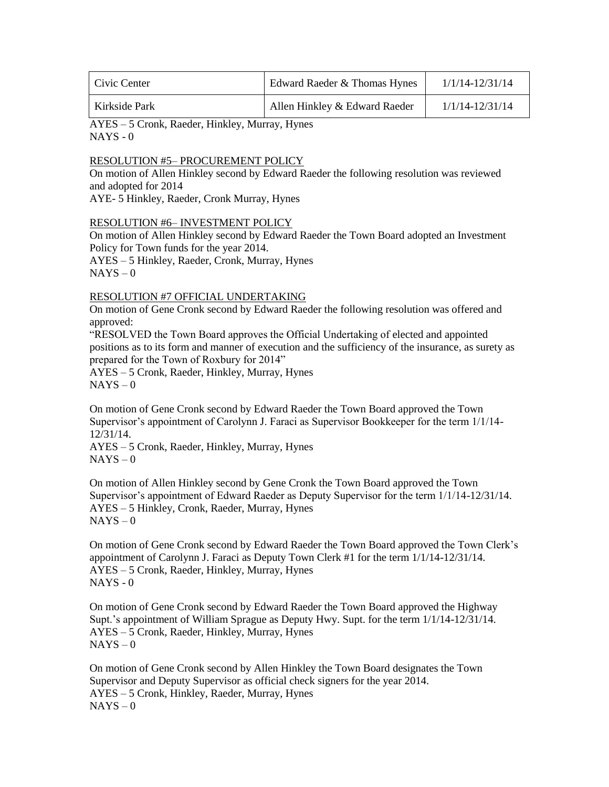| Civic Center  | Edward Raeder & Thomas Hynes  | 1/1/14-12/31/14 |
|---------------|-------------------------------|-----------------|
| Kirkside Park | Allen Hinkley & Edward Raeder | 1/1/14-12/31/14 |

AYES – 5 Cronk, Raeder, Hinkley, Murray, Hynes  $NAYS - 0$ 

### RESOLUTION #5– PROCUREMENT POLICY

On motion of Allen Hinkley second by Edward Raeder the following resolution was reviewed and adopted for 2014

AYE- 5 Hinkley, Raeder, Cronk Murray, Hynes

### RESOLUTION #6– INVESTMENT POLICY

On motion of Allen Hinkley second by Edward Raeder the Town Board adopted an Investment Policy for Town funds for the year 2014.

AYES – 5 Hinkley, Raeder, Cronk, Murray, Hynes  $NAYS - 0$ 

### RESOLUTION #7 OFFICIAL UNDERTAKING

On motion of Gene Cronk second by Edward Raeder the following resolution was offered and approved:

"RESOLVED the Town Board approves the Official Undertaking of elected and appointed positions as to its form and manner of execution and the sufficiency of the insurance, as surety as prepared for the Town of Roxbury for 2014"

AYES – 5 Cronk, Raeder, Hinkley, Murray, Hynes  $NAYS - 0$ 

On motion of Gene Cronk second by Edward Raeder the Town Board approved the Town Supervisor's appointment of Carolynn J. Faraci as Supervisor Bookkeeper for the term 1/1/14- 12/31/14.

AYES – 5 Cronk, Raeder, Hinkley, Murray, Hynes  $NAYS - 0$ 

On motion of Allen Hinkley second by Gene Cronk the Town Board approved the Town Supervisor's appointment of Edward Raeder as Deputy Supervisor for the term 1/1/14-12/31/14. AYES – 5 Hinkley, Cronk, Raeder, Murray, Hynes  $NAYS - 0$ 

On motion of Gene Cronk second by Edward Raeder the Town Board approved the Town Clerk's appointment of Carolynn J. Faraci as Deputy Town Clerk #1 for the term 1/1/14-12/31/14. AYES – 5 Cronk, Raeder, Hinkley, Murray, Hynes  $NAYS - 0$ 

On motion of Gene Cronk second by Edward Raeder the Town Board approved the Highway Supt.'s appointment of William Sprague as Deputy Hwy. Supt. for the term 1/1/14-12/31/14. AYES – 5 Cronk, Raeder, Hinkley, Murray, Hynes  $NAYS - 0$ 

On motion of Gene Cronk second by Allen Hinkley the Town Board designates the Town Supervisor and Deputy Supervisor as official check signers for the year 2014. AYES – 5 Cronk, Hinkley, Raeder, Murray, Hynes  $NAYS - 0$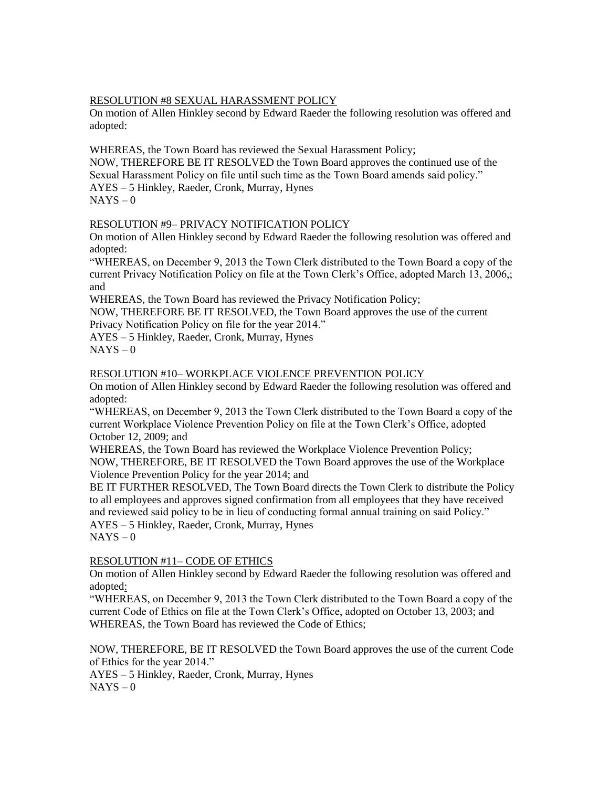## RESOLUTION #8 SEXUAL HARASSMENT POLICY

On motion of Allen Hinkley second by Edward Raeder the following resolution was offered and adopted:

WHEREAS, the Town Board has reviewed the Sexual Harassment Policy;

NOW, THEREFORE BE IT RESOLVED the Town Board approves the continued use of the Sexual Harassment Policy on file until such time as the Town Board amends said policy." AYES – 5 Hinkley, Raeder, Cronk, Murray, Hynes  $NAYS - 0$ 

## RESOLUTION #9– PRIVACY NOTIFICATION POLICY

On motion of Allen Hinkley second by Edward Raeder the following resolution was offered and adopted:

"WHEREAS, on December 9, 2013 the Town Clerk distributed to the Town Board a copy of the current Privacy Notification Policy on file at the Town Clerk's Office, adopted March 13, 2006,; and

WHEREAS, the Town Board has reviewed the Privacy Notification Policy;

NOW, THEREFORE BE IT RESOLVED, the Town Board approves the use of the current Privacy Notification Policy on file for the year 2014."

AYES – 5 Hinkley, Raeder, Cronk, Murray, Hynes

 $NAYS - 0$ 

### RESOLUTION #10– WORKPLACE VIOLENCE PREVENTION POLICY

On motion of Allen Hinkley second by Edward Raeder the following resolution was offered and adopted:

"WHEREAS, on December 9, 2013 the Town Clerk distributed to the Town Board a copy of the current Workplace Violence Prevention Policy on file at the Town Clerk's Office, adopted October 12, 2009; and

WHEREAS, the Town Board has reviewed the Workplace Violence Prevention Policy; NOW, THEREFORE, BE IT RESOLVED the Town Board approves the use of the Workplace Violence Prevention Policy for the year 2014; and

BE IT FURTHER RESOLVED, The Town Board directs the Town Clerk to distribute the Policy to all employees and approves signed confirmation from all employees that they have received and reviewed said policy to be in lieu of conducting formal annual training on said Policy." AYES – 5 Hinkley, Raeder, Cronk, Murray, Hynes

 $NAYS - 0$ 

## RESOLUTION #11– CODE OF ETHICS

On motion of Allen Hinkley second by Edward Raeder the following resolution was offered and adopted:

"WHEREAS, on December 9, 2013 the Town Clerk distributed to the Town Board a copy of the current Code of Ethics on file at the Town Clerk's Office, adopted on October 13, 2003; and WHEREAS, the Town Board has reviewed the Code of Ethics;

NOW, THEREFORE, BE IT RESOLVED the Town Board approves the use of the current Code of Ethics for the year 2014."

AYES – 5 Hinkley, Raeder, Cronk, Murray, Hynes  $NAYS - 0$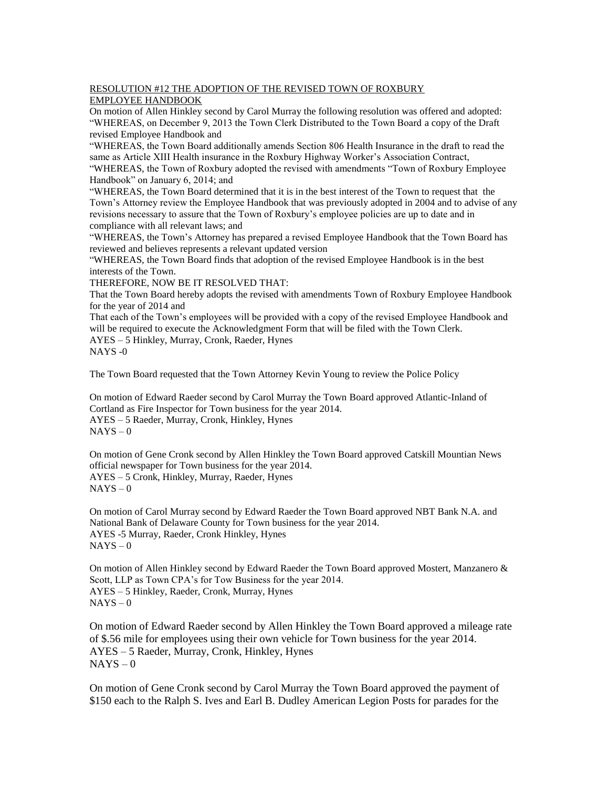#### RESOLUTION #12 THE ADOPTION OF THE REVISED TOWN OF ROXBURY EMPLOYEE HANDBOOK

On motion of Allen Hinkley second by Carol Murray the following resolution was offered and adopted: "WHEREAS, on December 9, 2013 the Town Clerk Distributed to the Town Board a copy of the Draft revised Employee Handbook and

"WHEREAS, the Town Board additionally amends Section 806 Health Insurance in the draft to read the same as Article XIII Health insurance in the Roxbury Highway Worker's Association Contract,

"WHEREAS, the Town of Roxbury adopted the revised with amendments "Town of Roxbury Employee Handbook" on January 6, 2014; and

"WHEREAS, the Town Board determined that it is in the best interest of the Town to request that the Town's Attorney review the Employee Handbook that was previously adopted in 2004 and to advise of any revisions necessary to assure that the Town of Roxbury's employee policies are up to date and in compliance with all relevant laws; and

"WHEREAS, the Town's Attorney has prepared a revised Employee Handbook that the Town Board has reviewed and believes represents a relevant updated version

"WHEREAS, the Town Board finds that adoption of the revised Employee Handbook is in the best interests of the Town.

THEREFORE, NOW BE IT RESOLVED THAT:

That the Town Board hereby adopts the revised with amendments Town of Roxbury Employee Handbook for the year of 2014 and

That each of the Town's employees will be provided with a copy of the revised Employee Handbook and will be required to execute the Acknowledgment Form that will be filed with the Town Clerk. AYES – 5 Hinkley, Murray, Cronk, Raeder, Hynes NAYS -0

The Town Board requested that the Town Attorney Kevin Young to review the Police Policy

On motion of Edward Raeder second by Carol Murray the Town Board approved Atlantic-Inland of Cortland as Fire Inspector for Town business for the year 2014. AYES – 5 Raeder, Murray, Cronk, Hinkley, Hynes  $NAYS - 0$ 

On motion of Gene Cronk second by Allen Hinkley the Town Board approved Catskill Mountian News official newspaper for Town business for the year 2014. AYES – 5 Cronk, Hinkley, Murray, Raeder, Hynes  $NAYS - 0$ 

On motion of Carol Murray second by Edward Raeder the Town Board approved NBT Bank N.A. and National Bank of Delaware County for Town business for the year 2014. AYES -5 Murray, Raeder, Cronk Hinkley, Hynes  $NAYS - 0$ 

On motion of Allen Hinkley second by Edward Raeder the Town Board approved Mostert, Manzanero & Scott, LLP as Town CPA's for Tow Business for the year 2014. AYES – 5 Hinkley, Raeder, Cronk, Murray, Hynes  $NAYS - 0$ 

On motion of Edward Raeder second by Allen Hinkley the Town Board approved a mileage rate of \$.56 mile for employees using their own vehicle for Town business for the year 2014. AYES – 5 Raeder, Murray, Cronk, Hinkley, Hynes  $NAYS - 0$ 

On motion of Gene Cronk second by Carol Murray the Town Board approved the payment of \$150 each to the Ralph S. Ives and Earl B. Dudley American Legion Posts for parades for the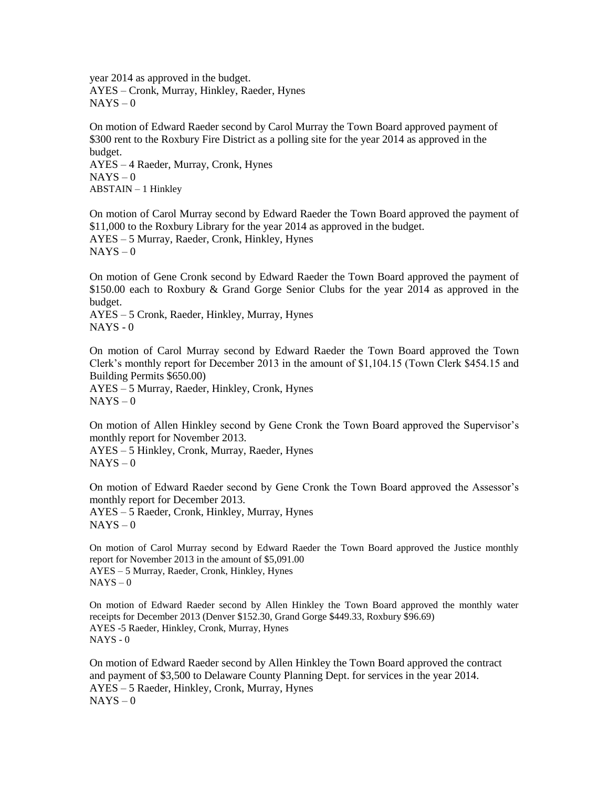year 2014 as approved in the budget. AYES – Cronk, Murray, Hinkley, Raeder, Hynes  $NAYS - 0$ 

On motion of Edward Raeder second by Carol Murray the Town Board approved payment of \$300 rent to the Roxbury Fire District as a polling site for the year 2014 as approved in the budget.

AYES – 4 Raeder, Murray, Cronk, Hynes  $NAYS - 0$ ABSTAIN – 1 Hinkley

On motion of Carol Murray second by Edward Raeder the Town Board approved the payment of \$11,000 to the Roxbury Library for the year 2014 as approved in the budget. AYES – 5 Murray, Raeder, Cronk, Hinkley, Hynes  $NAYS - 0$ 

On motion of Gene Cronk second by Edward Raeder the Town Board approved the payment of \$150.00 each to Roxbury & Grand Gorge Senior Clubs for the year 2014 as approved in the budget.

AYES – 5 Cronk, Raeder, Hinkley, Murray, Hynes NAYS - 0

On motion of Carol Murray second by Edward Raeder the Town Board approved the Town Clerk's monthly report for December 2013 in the amount of \$1,104.15 (Town Clerk \$454.15 and Building Permits \$650.00)

AYES – 5 Murray, Raeder, Hinkley, Cronk, Hynes  $NAYS - 0$ 

On motion of Allen Hinkley second by Gene Cronk the Town Board approved the Supervisor's monthly report for November 2013.

AYES – 5 Hinkley, Cronk, Murray, Raeder, Hynes  $NAYS - 0$ 

On motion of Edward Raeder second by Gene Cronk the Town Board approved the Assessor's monthly report for December 2013.

AYES – 5 Raeder, Cronk, Hinkley, Murray, Hynes  $NAYS - 0$ 

On motion of Carol Murray second by Edward Raeder the Town Board approved the Justice monthly report for November 2013 in the amount of \$5,091.00 AYES – 5 Murray, Raeder, Cronk, Hinkley, Hynes  $NAYS - 0$ 

On motion of Edward Raeder second by Allen Hinkley the Town Board approved the monthly water receipts for December 2013 (Denver \$152.30, Grand Gorge \$449.33, Roxbury \$96.69) AYES -5 Raeder, Hinkley, Cronk, Murray, Hynes NAYS - 0

On motion of Edward Raeder second by Allen Hinkley the Town Board approved the contract and payment of \$3,500 to Delaware County Planning Dept. for services in the year 2014. AYES – 5 Raeder, Hinkley, Cronk, Murray, Hynes  $NAYS - 0$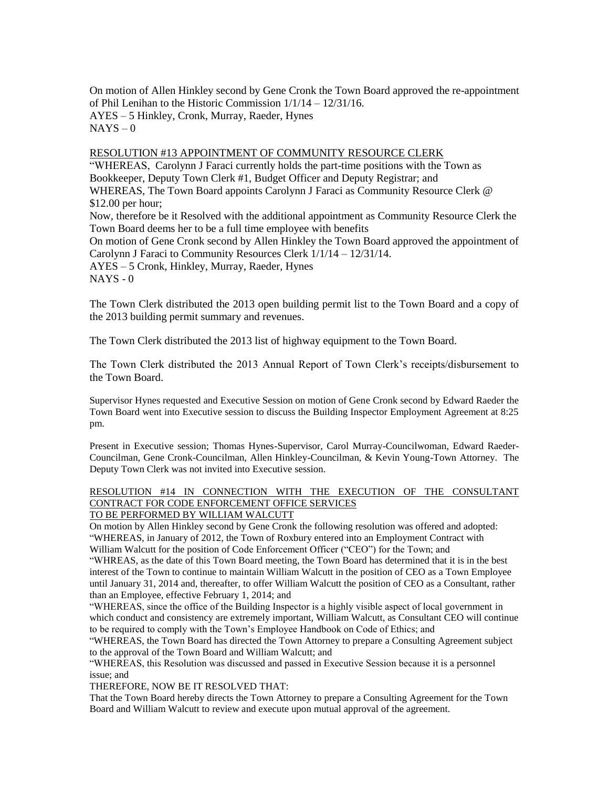On motion of Allen Hinkley second by Gene Cronk the Town Board approved the re-appointment of Phil Lenihan to the Historic Commission 1/1/14 – 12/31/16. AYES – 5 Hinkley, Cronk, Murray, Raeder, Hynes  $NAYS - 0$ 

## RESOLUTION #13 APPOINTMENT OF COMMUNITY RESOURCE CLERK

"WHEREAS, Carolynn J Faraci currently holds the part-time positions with the Town as Bookkeeper, Deputy Town Clerk #1, Budget Officer and Deputy Registrar; and WHEREAS, The Town Board appoints Carolynn J Faraci as Community Resource Clerk @ \$12.00 per hour; Now, therefore be it Resolved with the additional appointment as Community Resource Clerk the Town Board deems her to be a full time employee with benefits On motion of Gene Cronk second by Allen Hinkley the Town Board approved the appointment of Carolynn J Faraci to Community Resources Clerk 1/1/14 – 12/31/14. AYES – 5 Cronk, Hinkley, Murray, Raeder, Hynes  $NAYS - 0$ 

The Town Clerk distributed the 2013 open building permit list to the Town Board and a copy of the 2013 building permit summary and revenues.

The Town Clerk distributed the 2013 list of highway equipment to the Town Board.

The Town Clerk distributed the 2013 Annual Report of Town Clerk's receipts/disbursement to the Town Board.

Supervisor Hynes requested and Executive Session on motion of Gene Cronk second by Edward Raeder the Town Board went into Executive session to discuss the Building Inspector Employment Agreement at 8:25 pm.

Present in Executive session; Thomas Hynes-Supervisor, Carol Murray-Councilwoman, Edward Raeder-Councilman, Gene Cronk-Councilman, Allen Hinkley-Councilman, & Kevin Young-Town Attorney. The Deputy Town Clerk was not invited into Executive session.

# RESOLUTION #14 IN CONNECTION WITH THE EXECUTION OF THE CONSULTANT CONTRACT FOR CODE ENFORCEMENT OFFICE SERVICES

## TO BE PERFORMED BY WILLIAM WALCUTT

On motion by Allen Hinkley second by Gene Cronk the following resolution was offered and adopted: "WHEREAS, in January of 2012, the Town of Roxbury entered into an Employment Contract with William Walcutt for the position of Code Enforcement Officer ("CEO") for the Town; and

"WHREAS, as the date of this Town Board meeting, the Town Board has determined that it is in the best interest of the Town to continue to maintain William Walcutt in the position of CEO as a Town Employee until January 31, 2014 and, thereafter, to offer William Walcutt the position of CEO as a Consultant, rather than an Employee, effective February 1, 2014; and

"WHEREAS, since the office of the Building Inspector is a highly visible aspect of local government in which conduct and consistency are extremely important, William Walcutt, as Consultant CEO will continue to be required to comply with the Town's Employee Handbook on Code of Ethics; and

"WHEREAS, the Town Board has directed the Town Attorney to prepare a Consulting Agreement subject to the approval of the Town Board and William Walcutt; and

"WHEREAS, this Resolution was discussed and passed in Executive Session because it is a personnel issue; and

THEREFORE, NOW BE IT RESOLVED THAT:

That the Town Board hereby directs the Town Attorney to prepare a Consulting Agreement for the Town Board and William Walcutt to review and execute upon mutual approval of the agreement.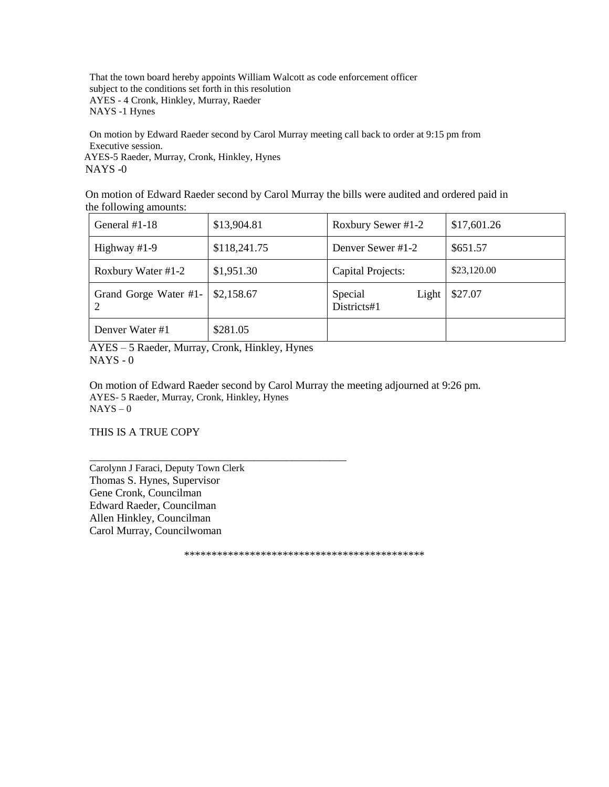That the town board hereby appoints William Walcott as code enforcement officer subject to the conditions set forth in this resolution AYES - 4 Cronk, Hinkley, Murray, Raeder NAYS -1 Hynes

On motion by Edward Raeder second by Carol Murray meeting call back to order at 9:15 pm from Executive session. AYES-5 Raeder, Murray, Cronk, Hinkley, Hynes

NAYS -0

 On motion of Edward Raeder second by Carol Murray the bills were audited and ordered paid in the following amounts:

| General $#1-18$       | \$13,904.81  | Roxbury Sewer #1-2              | \$17,601.26 |
|-----------------------|--------------|---------------------------------|-------------|
| Highway #1-9          | \$118,241.75 | Denver Sewer #1-2               | \$651.57    |
| Roxbury Water #1-2    | \$1,951.30   | Capital Projects:               | \$23,120.00 |
| Grand Gorge Water #1- | \$2,158.67   | Special<br>Light<br>Districts#1 | \$27.07     |
| Denver Water #1       | \$281.05     |                                 |             |

AYES – 5 Raeder, Murray, Cronk, Hinkley, Hynes  $NAYS - 0$ 

\_\_\_\_\_\_\_\_\_\_\_\_\_\_\_\_\_\_\_\_\_\_\_\_\_\_\_\_\_\_\_\_\_\_\_\_\_\_\_\_\_\_\_\_\_\_\_

On motion of Edward Raeder second by Carol Murray the meeting adjourned at 9:26 pm. AYES- 5 Raeder, Murray, Cronk, Hinkley, Hynes  $NAYS - 0$ 

THIS IS A TRUE COPY

Carolynn J Faraci, Deputy Town Clerk Thomas S. Hynes, Supervisor Gene Cronk, Councilman Edward Raeder, Councilman Allen Hinkley, Councilman Carol Murray, Councilwoman

\*\*\*\*\*\*\*\*\*\*\*\*\*\*\*\*\*\*\*\*\*\*\*\*\*\*\*\*\*\*\*\*\*\*\*\*\*\*\*\*\*\*\*\*